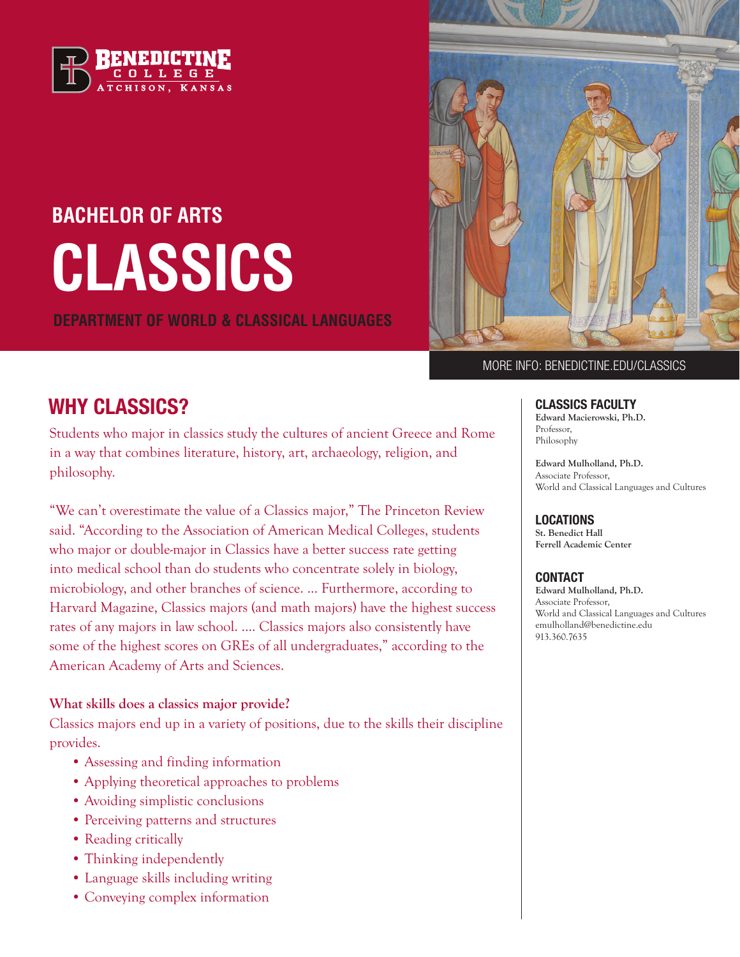

# **CLASSICS BACHELOR OF ARTS**

**DEPARTMENT OF WORLD & CLASSICAL LANGUAGES**



#### MORE INFO: BENEDICTINE.EDU/CLASSICS

## WHY CLASSICS? CLASSICS FACULTY

Students who major in classics study the cultures of ancient Greece and Rome in a way that combines literature, history, art, archaeology, religion, and philosophy.

"We can't overestimate the value of a Classics major," The Princeton Review said. "According to the Association of American Medical Colleges, students who major or double-major in Classics have a better success rate getting into medical school than do students who concentrate solely in biology, microbiology, and other branches of science. … Furthermore, according to Harvard Magazine, Classics majors (and math majors) have the highest success rates of any majors in law school. …. Classics majors also consistently have some of the highest scores on GREs of all undergraduates," according to the American Academy of Arts and Sciences.

#### **What skills does a classics major provide?**

Classics majors end up in a variety of positions, due to the skills their discipline provides.

- Assessing and finding information
- Applying theoretical approaches to problems
- Avoiding simplistic conclusions
- Perceiving patterns and structures
- Reading critically
- Thinking independently
- Language skills including writing
- Conveying complex information

**Edward Macierowski, Ph.D.**  Professor, Philosophy

**Edward Mulholland, Ph.D.** Associate Professor, World and Classical Languages and Cultures

LOCATIONS **St. Benedict Hall**

**Ferrell Academic Center**

#### **CONTACT**

**Edward Mulholland, Ph.D.** Associate Professor, World and Classical Languages and Cultures emulholland@benedictine.edu 913.360.7635